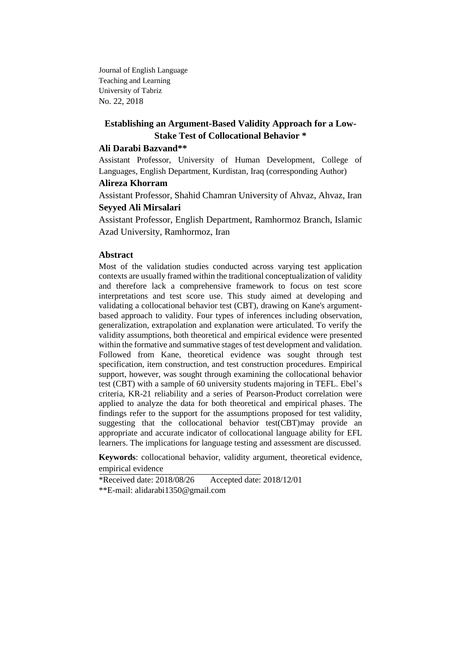Journal of English Language Teaching and Learning University of Tabriz No. 22, 2018

# **Establishing an Argument-Based Validity Approach for a Low-Stake Test of Collocational Behavior \***

## **Ali Darabi Bazvand\*\***

Assistant Professor, University of Human Development, College of Languages, English Department, Kurdistan, Iraq (corresponding Author)

## **Alireza Khorram**

Assistant Professor, Shahid Chamran University of Ahvaz, Ahvaz, Iran

## **Seyyed Ali Mirsalari**

Assistant Professor, English Department, Ramhormoz Branch, Islamic Azad University, Ramhormoz, Iran

# **Abstract**

Most of the validation studies conducted across varying test application contexts are usually framed within the traditional conceptualization of validity and therefore lack a comprehensive framework to focus on test score interpretations and test score use. This study aimed at developing and validating a collocational behavior test (CBT), drawing on Kane's argumentbased approach to validity. Four types of inferences including observation, generalization, extrapolation and explanation were articulated. To verify the validity assumptions, both theoretical and empirical evidence were presented within the formative and summative stages of test development and validation. Followed from Kane, theoretical evidence was sought through test specification, item construction, and test construction procedures. Empirical support, however, was sought through examining the collocational behavior test (CBT) with a sample of 60 university students majoring in TEFL. Ebel's criteria, KR-21 reliability and a series of Pearson-Product correlation were applied to analyze the data for both theoretical and empirical phases. The findings refer to the support for the assumptions proposed for test validity, suggesting that the collocational behavior test(CBT)may provide an appropriate and accurate indicator of collocational language ability for EFL learners. The implications for language testing and assessment are discussed.

**Keywords**: collocational behavior, validity argument, theoretical evidence, empirical evidence

\*Received date: 2018/08/26 Accepted date: 2018/12/01 \*\*E-mail: alidarabi1350@gmail.com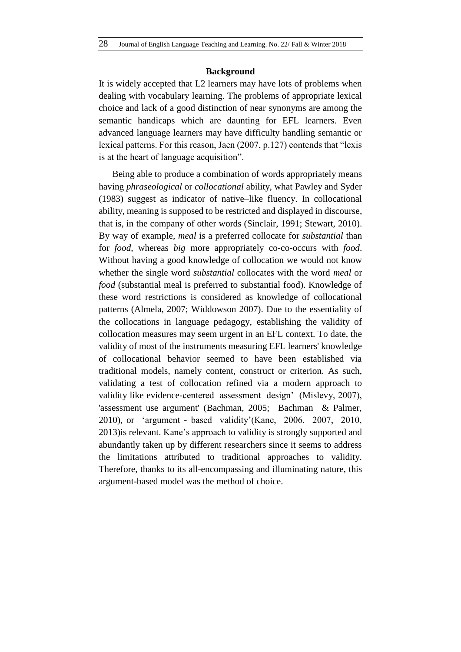## **Background**

It is widely accepted that L2 learners may have lots of problems when dealing with vocabulary learning. The problems of appropriate lexical choice and lack of a good distinction of near synonyms are among the semantic handicaps which are daunting for EFL learners. Even advanced language learners may have difficulty handling semantic or lexical patterns. For this reason, Jaen (2007, p.127) contends that "lexis is at the heart of language acquisition".

Being able to produce a combination of words appropriately means having *phraseological* or *collocational* ability, what Pawley and Syder (1983) suggest as indicator of native–like fluency. In collocational ability, meaning is supposed to be restricted and displayed in discourse, that is, in the company of other words (Sinclair, 1991; Stewart, 2010). By way of example*, meal* is a preferred collocate for *substantial* than for *food,* whereas *big* more appropriately co-co-occurs with *food*. Without having a good knowledge of collocation we would not know whether the single word *substantial* collocates with the word *meal* or *food* (substantial meal is preferred to substantial food). Knowledge of these word restrictions is considered as knowledge of collocational patterns (Almela, 2007; Widdowson 2007). Due to the essentiality of the collocations in language pedagogy, establishing the validity of collocation measures may seem urgent in an EFL context. To date, the validity of most of the instruments measuring EFL learners' knowledge of collocational behavior seemed to have been established via traditional models, namely content, construct or criterion. As such, validating a test of collocation refined via a modern approach to validity like evidence-centered assessment design' (Mislevy, 2007), 'assessment use argument' (Bachman, 2005; Bachman & Palmer, 2010), or 'argument - based validity'(Kane, 2006, 2007, 2010, 2013)is relevant. Kane's approach to validity is strongly supported and abundantly taken up by different researchers since it seems to address the limitations attributed to traditional approaches to validity. Therefore, thanks to its all-encompassing and illuminating nature, this argument-based model was the method of choice.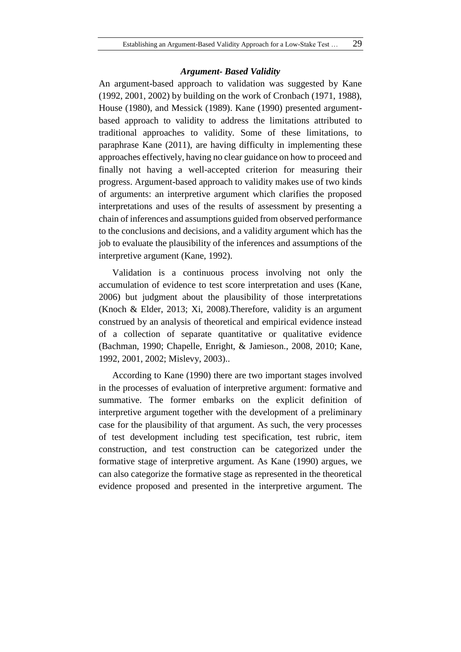## *Argument- Based Validity*

An argument-based approach to validation was suggested by Kane (1992, 2001, 2002) by building on the work of Cronbach (1971, 1988), House (1980), and Messick (1989). Kane (1990) presented argumentbased approach to validity to address the limitations attributed to traditional approaches to validity. Some of these limitations, to paraphrase Kane (2011), are having difficulty in implementing these approaches effectively, having no clear guidance on how to proceed and finally not having a well-accepted criterion for measuring their progress. Argument-based approach to validity makes use of two kinds of arguments: an interpretive argument which clarifies the proposed interpretations and uses of the results of assessment by presenting a chain of inferences and assumptions guided from observed performance to the conclusions and decisions, and a validity argument which has the job to evaluate the plausibility of the inferences and assumptions of the interpretive argument (Kane, 1992).

Validation is a continuous process involving not only the accumulation of evidence to test score interpretation and uses (Kane, 2006) but judgment about the plausibility of those interpretations (Knoch & Elder, 2013; Xi, 2008).Therefore, validity is an argument construed by an analysis of theoretical and empirical evidence instead of a collection of separate quantitative or qualitative evidence (Bachman, 1990; Chapelle, Enright, & Jamieson., 2008, 2010; Kane, 1992, 2001, 2002; Mislevy, 2003)..

According to Kane (1990) there are two important stages involved in the processes of evaluation of interpretive argument: formative and summative. The former embarks on the explicit definition of interpretive argument together with the development of a preliminary case for the plausibility of that argument. As such, the very processes of test development including test specification, test rubric, item construction, and test construction can be categorized under the formative stage of interpretive argument. As Kane (1990) argues, we can also categorize the formative stage as represented in the theoretical evidence proposed and presented in the interpretive argument. The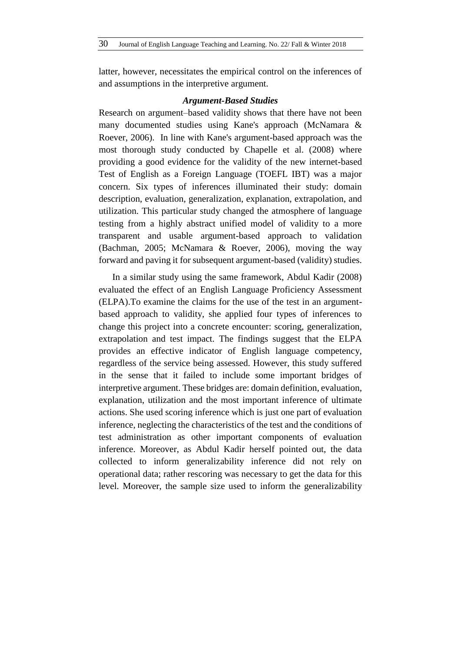latter, however, necessitates the empirical control on the inferences of and assumptions in the interpretive argument.

#### *Argument-Based Studies*

Research on argument–based validity shows that there have not been many documented studies using Kane's approach (McNamara & Roever, 2006). In line with Kane's argument-based approach was the most thorough study conducted by Chapelle et al. (2008) where providing a good evidence for the validity of the new internet-based Test of English as a Foreign Language (TOEFL IBT) was a major concern. Six types of inferences illuminated their study: domain description, evaluation, generalization, explanation, extrapolation, and utilization. This particular study changed the atmosphere of language testing from a highly abstract unified model of validity to a more transparent and usable argument-based approach to validation (Bachman, 2005; McNamara & Roever, 2006), moving the way forward and paving it for subsequent argument-based (validity) studies.

In a similar study using the same framework, Abdul Kadir (2008) evaluated the effect of an English Language Proficiency Assessment (ELPA).To examine the claims for the use of the test in an argumentbased approach to validity, she applied four types of inferences to change this project into a concrete encounter: scoring, generalization, extrapolation and test impact. The findings suggest that the ELPA provides an effective indicator of English language competency, regardless of the service being assessed. However, this study suffered in the sense that it failed to include some important bridges of interpretive argument. These bridges are: domain definition, evaluation, explanation, utilization and the most important inference of ultimate actions. She used scoring inference which is just one part of evaluation inference, neglecting the characteristics of the test and the conditions of test administration as other important components of evaluation inference. Moreover, as Abdul Kadir herself pointed out, the data collected to inform generalizability inference did not rely on operational data; rather rescoring was necessary to get the data for this level. Moreover, the sample size used to inform the generalizability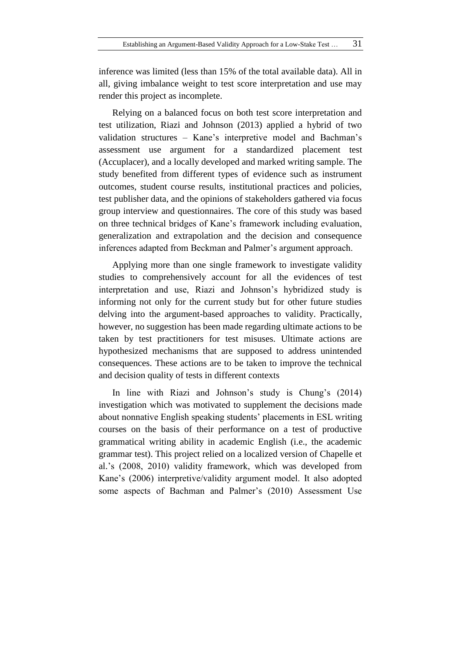inference was limited (less than 15% of the total available data). All in all, giving imbalance weight to test score interpretation and use may render this project as incomplete.

Relying on a balanced focus on both test score interpretation and test utilization, Riazi and Johnson (2013) applied a hybrid of two validation structures – Kane's interpretive model and Bachman's assessment use argument for a standardized placement test (Accuplacer), and a locally developed and marked writing sample. The study benefited from different types of evidence such as instrument outcomes, student course results, institutional practices and policies, test publisher data, and the opinions of stakeholders gathered via focus group interview and questionnaires. The core of this study was based on three technical bridges of Kane's framework including evaluation, generalization and extrapolation and the decision and consequence inferences adapted from Beckman and Palmer's argument approach.

Applying more than one single framework to investigate validity studies to comprehensively account for all the evidences of test interpretation and use, Riazi and Johnson's hybridized study is informing not only for the current study but for other future studies delving into the argument-based approaches to validity. Practically, however, no suggestion has been made regarding ultimate actions to be taken by test practitioners for test misuses. Ultimate actions are hypothesized mechanisms that are supposed to address unintended consequences. These actions are to be taken to improve the technical and decision quality of tests in different contexts

In line with Riazi and Johnson's study is Chung's (2014) investigation which was motivated to supplement the decisions made about nonnative English speaking students' placements in ESL writing courses on the basis of their performance on a test of productive grammatical writing ability in academic English (i.e., the academic grammar test). This project relied on a localized version of Chapelle et al.'s (2008, 2010) validity framework, which was developed from Kane's (2006) interpretive/validity argument model. It also adopted some aspects of Bachman and Palmer's (2010) Assessment Use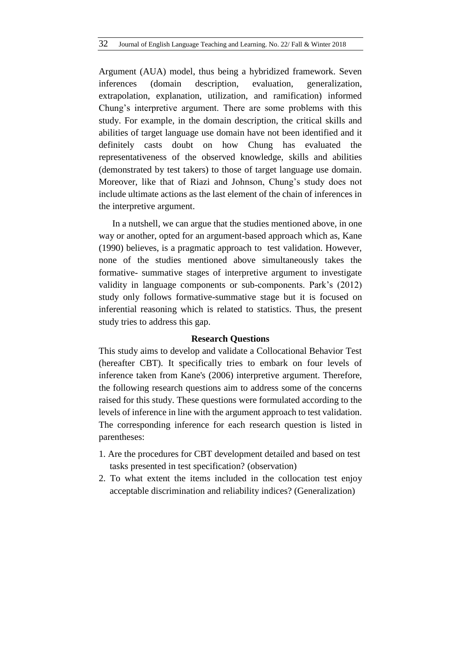Argument (AUA) model, thus being a hybridized framework. Seven inferences (domain description, evaluation, generalization, extrapolation, explanation, utilization, and ramification) informed Chung's interpretive argument. There are some problems with this study. For example, in the domain description, the critical skills and abilities of target language use domain have not been identified and it definitely casts doubt on how Chung has evaluated the representativeness of the observed knowledge, skills and abilities (demonstrated by test takers) to those of target language use domain. Moreover, like that of Riazi and Johnson, Chung's study does not include ultimate actions as the last element of the chain of inferences in the interpretive argument.

In a nutshell, we can argue that the studies mentioned above, in one way or another, opted for an argument-based approach which as, Kane (1990) believes, is a pragmatic approach to test validation. However, none of the studies mentioned above simultaneously takes the formative- summative stages of interpretive argument to investigate validity in language components or sub-components. Park's (2012) study only follows formative-summative stage but it is focused on inferential reasoning which is related to statistics. Thus, the present study tries to address this gap.

# **Research Questions**

This study aims to develop and validate a Collocational Behavior Test (hereafter CBT). It specifically tries to embark on four levels of inference taken from Kane's (2006) interpretive argument. Therefore, the following research questions aim to address some of the concerns raised for this study. These questions were formulated according to the levels of inference in line with the argument approach to test validation. The corresponding inference for each research question is listed in parentheses:

- 1. Are the procedures for CBT development detailed and based on test tasks presented in test specification? (observation)
- 2. To what extent the items included in the collocation test enjoy acceptable discrimination and reliability indices? (Generalization)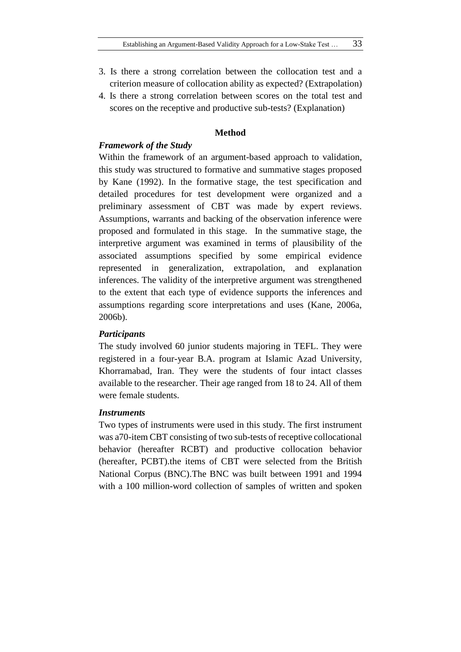- 3. Is there a strong correlation between the collocation test and a criterion measure of collocation ability as expected? (Extrapolation)
- 4. Is there a strong correlation between scores on the total test and scores on the receptive and productive sub-tests? (Explanation)

# **Method**

## *Framework of the Study*

Within the framework of an argument-based approach to validation, this study was structured to formative and summative stages proposed by Kane (1992). In the formative stage, the test specification and detailed procedures for test development were organized and a preliminary assessment of CBT was made by expert reviews. Assumptions, warrants and backing of the observation inference were proposed and formulated in this stage. In the summative stage, the interpretive argument was examined in terms of plausibility of the associated assumptions specified by some empirical evidence represented in generalization, extrapolation, and explanation inferences. The validity of the interpretive argument was strengthened to the extent that each type of evidence supports the inferences and assumptions regarding score interpretations and uses (Kane, 2006a, 2006b).

## *Participants*

The study involved 60 junior students majoring in TEFL. They were registered in a four-year B.A. program at Islamic Azad University, Khorramabad, Iran. They were the students of four intact classes available to the researcher. Their age ranged from 18 to 24. All of them were female students.

#### *Instruments*

Two types of instruments were used in this study. The first instrument was a70-item CBT consisting of two sub-tests of receptive collocational behavior (hereafter RCBT) and productive collocation behavior (hereafter, PCBT).the items of CBT were selected from the British National Corpus (BNC).The BNC was built between 1991 and 1994 with a 100 million-word collection of samples of written and spoken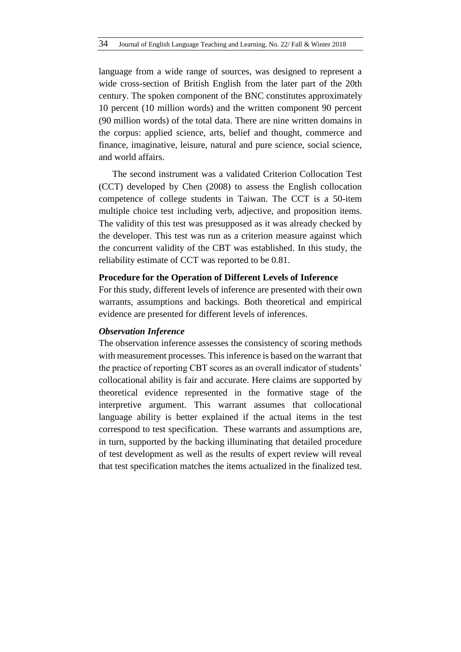language from a wide range of sources, was designed to represent a wide cross-section of British English from the later part of the 20th century. The spoken component of the BNC constitutes approximately 10 percent (10 million words) and the written component 90 percent (90 million words) of the total data. There are nine written domains in the corpus: applied science, arts, belief and thought, commerce and finance, imaginative, leisure, natural and pure science, social science, and world affairs.

The second instrument was a validated Criterion Collocation Test (CCT) developed by Chen (2008) to assess the English collocation competence of college students in Taiwan. The CCT is a 50-item multiple choice test including verb, adjective, and proposition items. The validity of this test was presupposed as it was already checked by the developer. This test was run as a criterion measure against which the concurrent validity of the CBT was established. In this study, the reliability estimate of CCT was reported to be 0.81.

#### **Procedure for the Operation of Different Levels of Inference**

For this study, different levels of inference are presented with their own warrants, assumptions and backings. Both theoretical and empirical evidence are presented for different levels of inferences.

#### *Observation Inference*

The observation inference assesses the consistency of scoring methods with measurement processes. This inference is based on the warrant that the practice of reporting CBT scores as an overall indicator of students' collocational ability is fair and accurate. Here claims are supported by theoretical evidence represented in the formative stage of the interpretive argument. This warrant assumes that collocational language ability is better explained if the actual items in the test correspond to test specification. These warrants and assumptions are, in turn, supported by the backing illuminating that detailed procedure of test development as well as the results of expert review will reveal that test specification matches the items actualized in the finalized test.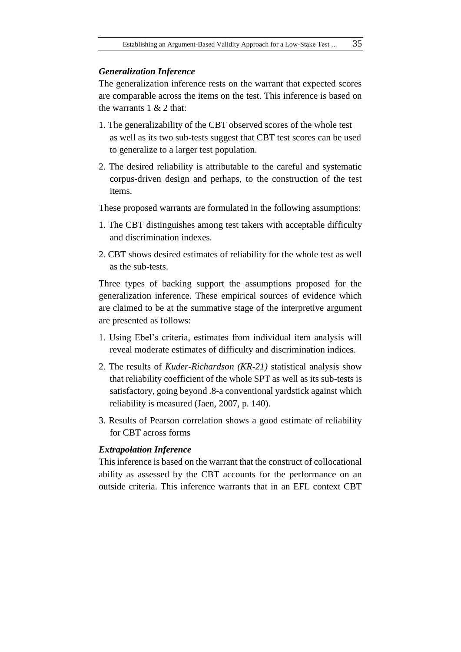## *Generalization Inference*

The generalization inference rests on the warrant that expected scores are comparable across the items on the test. This inference is based on the warrants  $1 & 2$  that:

- 1. The generalizability of the CBT observed scores of the whole test as well as its two sub-tests suggest that CBT test scores can be used to generalize to a larger test population.
- 2. The desired reliability is attributable to the careful and systematic corpus-driven design and perhaps, to the construction of the test items.

These proposed warrants are formulated in the following assumptions:

- 1. The CBT distinguishes among test takers with acceptable difficulty and discrimination indexes.
- 2. CBT shows desired estimates of reliability for the whole test as well as the sub-tests.

Three types of backing support the assumptions proposed for the generalization inference. These empirical sources of evidence which are claimed to be at the summative stage of the interpretive argument are presented as follows:

- 1. Using Ebel's criteria, estimates from individual item analysis will reveal moderate estimates of difficulty and discrimination indices.
- 2. The results of *Kuder-Richardson (KR-21)* statistical analysis show that reliability coefficient of the whole SPT as well as its sub-tests is satisfactory, going beyond .8-a conventional yardstick against which reliability is measured (Jaen, 2007, p. 140).
- 3. Results of Pearson correlation shows a good estimate of reliability for CBT across forms

#### *Extrapolation Inference*

This inference is based on the warrant that the construct of collocational ability as assessed by the CBT accounts for the performance on an outside criteria. This inference warrants that in an EFL context CBT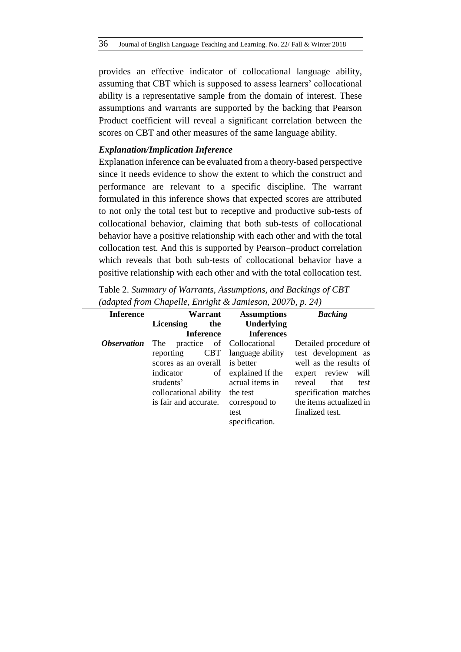provides an effective indicator of collocational language ability, assuming that CBT which is supposed to assess learners' collocational ability is a representative sample from the domain of interest. These assumptions and warrants are supported by the backing that Pearson Product coefficient will reveal a significant correlation between the scores on CBT and other measures of the same language ability.

## *Explanation/Implication Inference*

Explanation inference can be evaluated from a theory-based perspective since it needs evidence to show the extent to which the construct and performance are relevant to a specific discipline. The warrant formulated in this inference shows that expected scores are attributed to not only the total test but to receptive and productive sub-tests of collocational behavior, claiming that both sub-tests of collocational behavior have a positive relationship with each other and with the total collocation test. And this is supported by Pearson–product correlation which reveals that both sub-tests of collocational behavior have a positive relationship with each other and with the total collocation test.

Table 2. *Summary of Warrants, Assumptions, and Backings of CBT (adapted from Chapelle, Enright & Jamieson, 2007b, p. 24)*

| <b>Inference</b>          | Warrant                 | <b>Assumptions</b>        | <b>Backing</b>          |
|---------------------------|-------------------------|---------------------------|-------------------------|
|                           | <b>Licensing</b><br>the | Underlying                |                         |
|                           | <b>Inference</b>        | <b>Inferences</b>         |                         |
| <i><b>Observation</b></i> | The                     | practice of Collocational | Detailed procedure of   |
|                           | <b>CBT</b><br>reporting | language ability          | test development as     |
|                           | scores as an overall    | is better                 | well as the results of  |
|                           | indicator<br>of         | explained If the          | expert review<br>will   |
|                           | students'               | actual items in           | reveal<br>that<br>test  |
|                           | collocational ability   | the test                  | specification matches   |
|                           | is fair and accurate.   | correspond to             | the items actualized in |
|                           |                         | test                      | finalized test.         |
|                           |                         | specification.            |                         |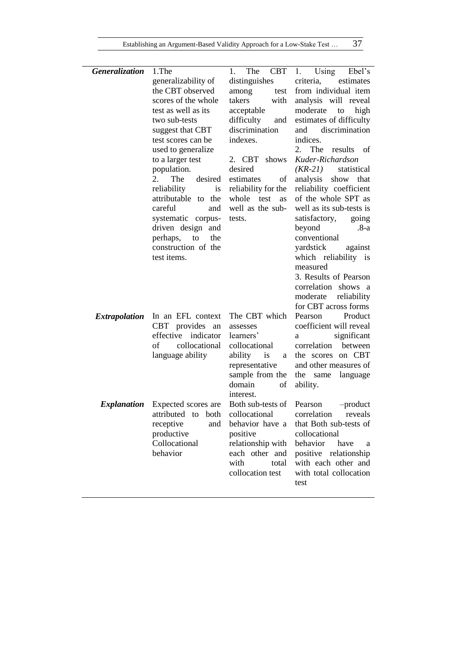| Generalization       | 1.The                                             | <b>CBT</b><br>The<br>1.   | Using<br>1.<br>Ebel's              |
|----------------------|---------------------------------------------------|---------------------------|------------------------------------|
|                      | generalizability of                               | distinguishes             | criteria,<br>estimates             |
|                      | the CBT observed                                  | among<br>test             | from individual item               |
|                      | scores of the whole                               | takers<br>with            | analysis will reveal               |
|                      | test as well as its                               | acceptable                | moderate<br>high<br>to             |
|                      | two sub-tests                                     | difficulty<br>and         | estimates of difficulty            |
|                      | suggest that CBT                                  | discrimination            | discrimination<br>and              |
|                      | test scores can be                                | indexes.                  | indices.                           |
|                      | used to generalize                                |                           | 2.<br>The<br>results of            |
|                      | to a larger test                                  | 2. CBT<br>shows           | Kuder-Richardson                   |
|                      | population.                                       | desired                   | $(KR-21)$<br>statistical           |
|                      | 2.<br>The<br>desired                              | estimates<br>of           | analysis<br>show that              |
|                      | reliability<br><i>is</i>                          | reliability for the       | reliability coefficient            |
|                      | attributable to the                               | whole<br>test<br>as       | of the whole SPT as                |
|                      | careful<br>and                                    | well as the sub-          | well as its sub-tests is           |
|                      | systematic corpus-                                | tests.                    | satisfactory,<br>going             |
|                      | driven design and                                 |                           | beyond<br>.8-a                     |
|                      | perhaps,<br>to<br>the                             |                           | conventional                       |
|                      | construction of the                               |                           | yardstick<br>against               |
|                      | test items.                                       |                           | which reliability is               |
|                      |                                                   |                           | measured                           |
|                      |                                                   |                           | 3. Results of Pearson              |
|                      |                                                   |                           | correlation shows a                |
|                      |                                                   |                           | moderate<br>reliability            |
|                      |                                                   |                           | for CBT across forms<br>Product    |
| <i>Extrapolation</i> | In an EFL context<br><b>CBT</b><br>provides<br>an | The CBT which<br>assesses | Pearson<br>coefficient will reveal |
|                      | indicator<br>effective                            | learners'                 | significant<br>a                   |
|                      | collocational<br>of                               | collocational             | correlation<br>between             |
|                      | language ability                                  | ability<br>is<br>a        | the scores on CBT                  |
|                      |                                                   | representative            | and other measures of              |
|                      |                                                   | sample from the           | the<br>same<br>language            |
|                      |                                                   | domain<br>οf              | ability.                           |
|                      |                                                   | interest.                 |                                    |
| <i>Explanation</i>   | Expected scores are                               | Both sub-tests of         | $-product$<br>Pearson              |
|                      | attributed<br>both<br>to                          | collocational             | correlation<br>reveals             |
|                      | receptive<br>and                                  | behavior have a           | that Both sub-tests of             |
|                      | productive                                        | positive                  | collocational                      |
|                      | Collocational                                     | relationship with         | behavior<br>have<br>a              |
|                      | behavior                                          | each other and            | positive relationship              |
|                      |                                                   | with<br>total             | with each other and                |
|                      |                                                   | collocation test          | with total collocation             |
|                      |                                                   |                           | test                               |
|                      |                                                   |                           |                                    |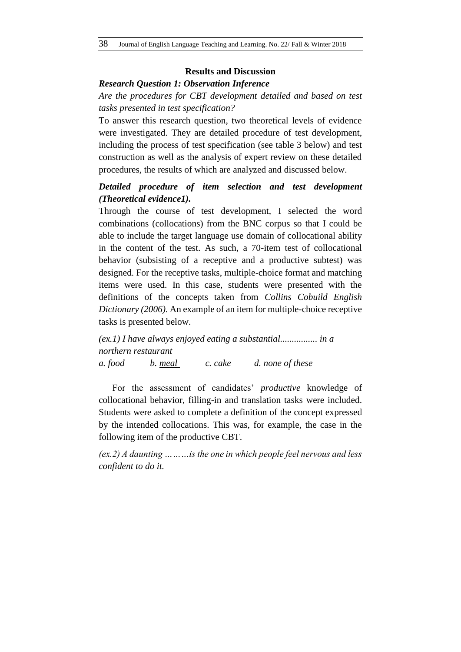## **Results and Discussion**

### *Research Question 1: Observation Inference*

*Are the procedures for CBT development detailed and based on test tasks presented in test specification?*

To answer this research question, two theoretical levels of evidence were investigated. They are detailed procedure of test development, including the process of test specification (see table 3 below) and test construction as well as the analysis of expert review on these detailed procedures, the results of which are analyzed and discussed below.

# *Detailed procedure of item selection and test development (Theoretical evidence1).*

Through the course of test development, I selected the word combinations (collocations) from the BNC corpus so that I could be able to include the target language use domain of collocational ability in the content of the test. As such, a 70-item test of collocational behavior (subsisting of a receptive and a productive subtest) was designed. For the receptive tasks, multiple-choice format and matching items were used. In this case, students were presented with the definitions of the concepts taken from *Collins Cobuild English Dictionary (2006)*. An example of an item for multiple-choice receptive tasks is presented below.

*(ex.1) I have always enjoyed eating a substantial................ in a northern restaurant*

*a. food b. meal c. cake d. none of these*

For the assessment of candidates' *productive* knowledge of collocational behavior, filling-in and translation tasks were included. Students were asked to complete a definition of the concept expressed by the intended collocations. This was, for example, the case in the following item of the productive CBT.

*(ex.2) A daunting ………is the one in which people feel nervous and less confident to do it.*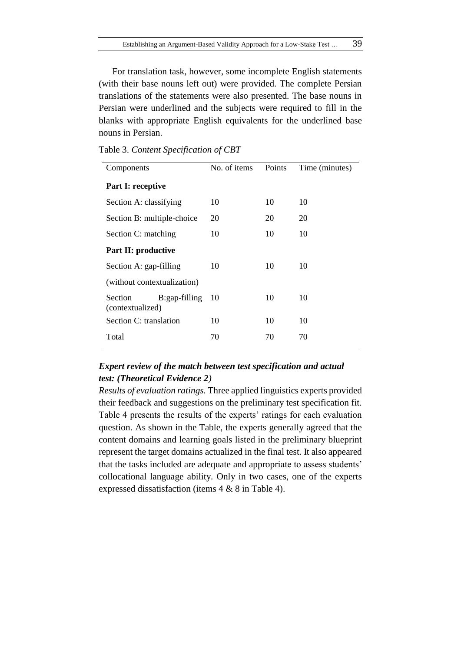For translation task, however, some incomplete English statements (with their base nouns left out) were provided. The complete Persian translations of the statements were also presented. The base nouns in Persian were underlined and the subjects were required to fill in the blanks with appropriate English equivalents for the underlined base nouns in Persian.

| Components                  |               | No. of items | Points | Time (minutes) |
|-----------------------------|---------------|--------------|--------|----------------|
| <b>Part I: receptive</b>    |               |              |        |                |
| Section A: classifying      |               | 10           | 10     | 10             |
| Section B: multiple-choice  |               | 20           | 20     | 20             |
| Section C: matching         |               | 10           | 10     | 10             |
| <b>Part II: productive</b>  |               |              |        |                |
| Section A: gap-filling      |               | 10           | 10     | 10             |
| (without contextualization) |               |              |        |                |
| Section<br>(contextualized) | B:gap-filling | 10           | 10     | 10             |
| Section C: translation      |               | 10           | 10     | 10             |
| Total                       |               | 70           | 70     | 70             |
|                             |               |              |        |                |

Table 3. *Content Specification of CBT*

# *Expert review of the match between test specification and actual test: (Theoretical Evidence 2)*

*Results of evaluation ratings.* Three applied linguistics experts provided their feedback and suggestions on the preliminary test specification fit. Table 4 presents the results of the experts' ratings for each evaluation question. As shown in the Table, the experts generally agreed that the content domains and learning goals listed in the preliminary blueprint represent the target domains actualized in the final test. It also appeared that the tasks included are adequate and appropriate to assess students' collocational language ability. Only in two cases, one of the experts expressed dissatisfaction (items 4 & 8 in Table 4).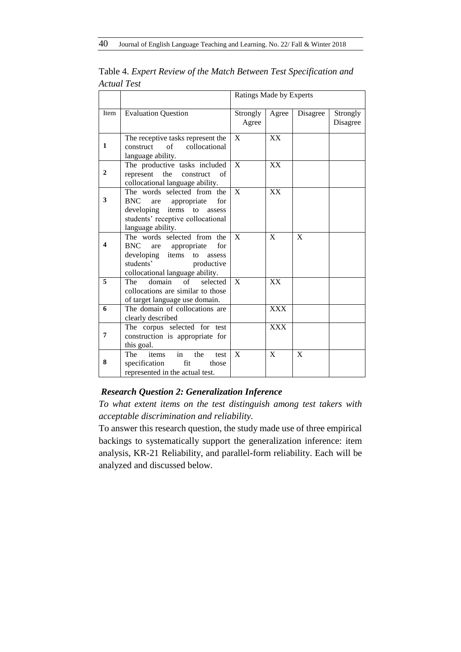|                |                                                                                                                                                                       | Ratings Made by Experts |              |              |                      |
|----------------|-----------------------------------------------------------------------------------------------------------------------------------------------------------------------|-------------------------|--------------|--------------|----------------------|
| Item           | <b>Evaluation Question</b>                                                                                                                                            | Strongly<br>Agree       | Agree        | Disagree     | Strongly<br>Disagree |
| $\mathbf{1}$   | The receptive tasks represent the<br>construct of collocational<br>language ability.                                                                                  | $\mathbf{X}$            | XX           |              |                      |
| $\overline{2}$ | The productive tasks included<br>represent<br>the<br>construct<br>of<br>collocational language ability.                                                               | $\mathbf{x}$            | XX           |              |                      |
| 3              | The words selected from the<br><b>BNC</b><br>for<br>appropriate<br>are<br>developing items to assess<br>students' receptive collocational<br>language ability.        | $\mathbf{X}$            | <b>XX</b>    |              |                      |
| 4              | The words selected from the<br><b>BNC</b><br>for<br>are appropriate<br>developing items<br>to<br>assess<br>students'<br>productive<br>collocational language ability. | $\mathbf{X}$            | $\mathbf{X}$ | $\mathbf{X}$ |                      |
| 5              | of<br>domain<br>selected<br><b>The</b><br>collocations are similar to those<br>of target language use domain.                                                         | $\mathbf{X}$            | XX           |              |                      |
| 6              | The domain of collocations are<br>clearly described                                                                                                                   |                         | <b>XXX</b>   |              |                      |
| 7              | The corpus selected for test<br>construction is appropriate for<br>this goal.                                                                                         |                         | <b>XXX</b>   |              |                      |
| 8              | in<br>the<br>The<br>items<br>test<br>specification<br>fit<br>those<br>represented in the actual test.                                                                 | X                       | $\mathbf{X}$ | X            |                      |

Table 4. *Expert Review of the Match Between Test Specification and Actual Test*

# *Research Question 2: Generalization Inference*

*To what extent items on the test distinguish among test takers with acceptable discrimination and reliability.*

To answer this research question, the study made use of three empirical backings to systematically support the generalization inference: item analysis, KR-21 Reliability, and parallel-form reliability. Each will be analyzed and discussed below.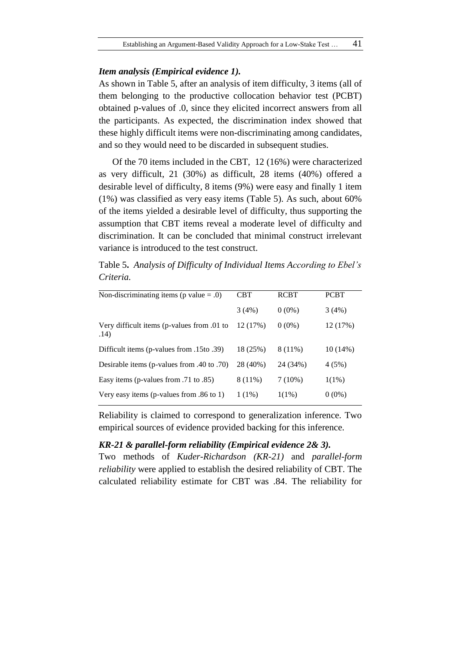## *Item analysis (Empirical evidence 1).*

As shown in Table 5, after an analysis of item difficulty, 3 items (all of them belonging to the productive collocation behavior test (PCBT) obtained p-values of .0, since they elicited incorrect answers from all the participants. As expected, the discrimination index showed that these highly difficult items were non-discriminating among candidates, and so they would need to be discarded in subsequent studies.

Of the 70 items included in the CBT, 12 (16%) were characterized as very difficult, 21 (30%) as difficult, 28 items (40%) offered a desirable level of difficulty, 8 items (9%) were easy and finally 1 item (1%) was classified as very easy items (Table 5). As such, about 60% of the items yielded a desirable level of difficulty, thus supporting the assumption that CBT items reveal a moderate level of difficulty and discrimination. It can be concluded that minimal construct irrelevant variance is introduced to the test construct.

Table 5**.** *Analysis of Difficulty of Individual Items According to Ebel's Criteria.*

| Non-discriminating items ( $p$ value = .0)         | CBT      | <b>RCBT</b> | <b>PCBT</b> |
|----------------------------------------------------|----------|-------------|-------------|
|                                                    | 3(4%)    | $0(0\%)$    | 3(4%)       |
| Very difficult items (p-values from .01 to<br>.14) | 12(17%)  | $0(0\%)$    | 12 (17%)    |
| (39. Difficult items (p-values from .15to)         | 18 (25%) | 8 (11%)     | $10(14\%)$  |
| Desirable items (p-values from .40 to .70)         | 28 (40%) | 24 (34%)    | 4(5%)       |
| Easy items (p-values from .71 to .85)              | 8 (11%)  | $7(10\%)$   | $1(1\%)$    |
| Very easy items (p-values from .86 to 1)           | $1(1\%)$ | $1(1\%)$    | $0(0\%)$    |

Reliability is claimed to correspond to generalization inference. Two empirical sources of evidence provided backing for this inference.

## *KR-21 & parallel-form reliability (Empirical evidence 2& 3).*

Two methods of *Kuder-Richardson (KR-21)* and *parallel-form reliability* were applied to establish the desired reliability of CBT. The calculated reliability estimate for CBT was .84. The reliability for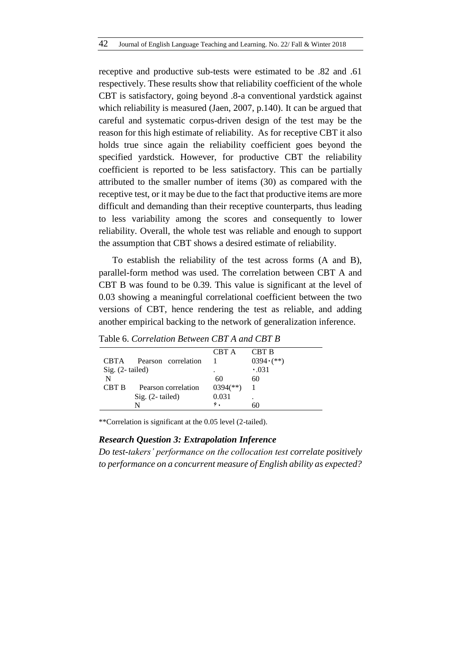receptive and productive sub-tests were estimated to be .82 and .61 respectively. These results show that reliability coefficient of the whole CBT is satisfactory, going beyond .8-a conventional yardstick against which reliability is measured (Jaen, 2007, p.140). It can be argued that careful and systematic corpus-driven design of the test may be the reason for this high estimate of reliability. As for receptive CBT it also holds true since again the reliability coefficient goes beyond the specified yardstick. However, for productive CBT the reliability coefficient is reported to be less satisfactory. This can be partially attributed to the smaller number of items (30) as compared with the receptive test, or it may be due to the fact that productive items are more difficult and demanding than their receptive counterparts, thus leading to less variability among the scores and consequently to lower reliability. Overall, the whole test was reliable and enough to support the assumption that CBT shows a desired estimate of reliability.

To establish the reliability of the test across forms (A and B), parallel-form method was used. The correlation between CBT A and CBT B was found to be 0.39. This value is significant at the level of 0.03 showing a meaningful correlational coefficient between the two versions of CBT, hence rendering the test as reliable, and adding another empirical backing to the network of generalization inference.

|                    |                     | CBT A                    | <b>CBT B</b>      |
|--------------------|---------------------|--------------------------|-------------------|
| <b>CBTA</b>        | Pearson correlation |                          | $0394 \cdot (**)$ |
| Sig. $(2$ -tailed) |                     | ٠                        | $\cdot .031$      |
| N                  |                     | 60                       | 60                |
| CBT B              | Pearson correlation | $0394$ <sup>(**)</sup> ) |                   |
|                    | $Sig. (2-tailed)$   | 0.031                    |                   |
|                    | N                   | ۶.                       | 60                |
|                    |                     |                          |                   |

Table 6. *Correlation Between CBT A and CBT B*

\*\*Correlation is significant at the 0.05 level (2-tailed).

## *Research Question 3: Extrapolation Inference*

*Do test-takers' performance on the collocation test correlate positively to performance on a concurrent measure of English ability as expected?*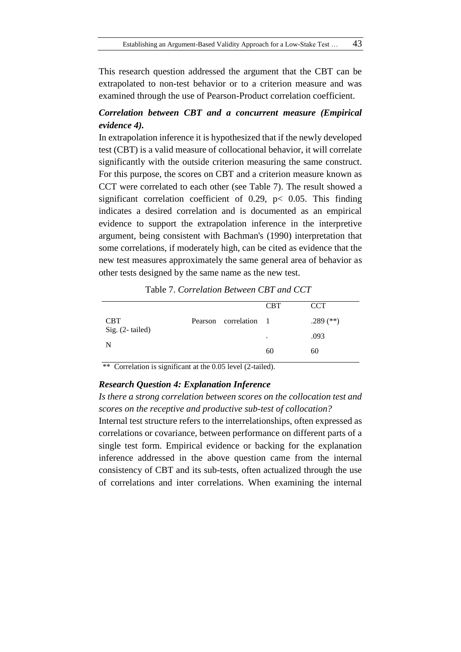This research question addressed the argument that the CBT can be extrapolated to non-test behavior or to a criterion measure and was examined through the use of Pearson-Product correlation coefficient.

# *Correlation between CBT and a concurrent measure (Empirical evidence 4).*

In extrapolation inference it is hypothesized that if the newly developed test (CBT) is a valid measure of collocational behavior, it will correlate significantly with the outside criterion measuring the same construct. For this purpose, the scores on CBT and a criterion measure known as CCT were correlated to each other (see Table 7). The result showed a significant correlation coefficient of 0.29, p< 0.05. This finding indicates a desired correlation and is documented as an empirical evidence to support the extrapolation inference in the interpretive argument, being consistent with Bachman's (1990) interpretation that some correlations, if moderately high, can be cited as evidence that the new test measures approximately the same general area of behavior as other tests designed by the same name as the new test.

|                 |                       | <b>CBT</b> | <b>CCT</b>  |
|-----------------|-----------------------|------------|-------------|
| <b>CBT</b>      | Pearson correlation 1 |            | .289 $(**)$ |
| Sig. (2-tailed) |                       | ٠          | .093        |
| N               |                       | 60         | 60          |

Table 7. *Correlation Between CBT and CCT*

\*\* Correlation is significant at the 0.05 level (2-tailed).

#### *Research Question 4: Explanation Inference*

*Is there a strong correlation between scores on the collocation test and scores on the receptive and productive sub-test of collocation?* 

Internal test structure refers to the interrelationships, often expressed as correlations or covariance, between performance on different parts of a single test form. Empirical evidence or backing for the explanation inference addressed in the above question came from the internal consistency of CBT and its sub-tests, often actualized through the use of correlations and inter correlations. When examining the internal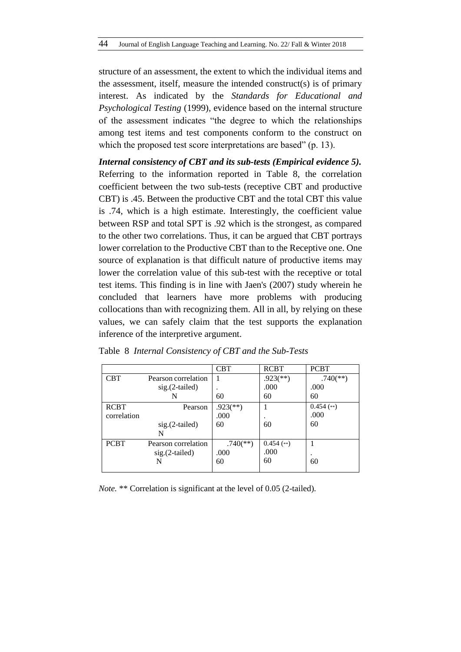structure of an assessment, the extent to which the individual items and the assessment, itself, measure the intended construct(s) is of primary interest. As indicated by the *Standards for Educational and Psychological Testing* (1999), evidence based on the internal structure of the assessment indicates "the degree to which the relationships among test items and test components conform to the construct on which the proposed test score interpretations are based" (p. 13).

*Internal consistency of CBT and its sub-tests (Empirical evidence 5).* Referring to the information reported in Table 8, the correlation coefficient between the two sub-tests (receptive CBT and productive CBT) is .45. Between the productive CBT and the total CBT this value is .74, which is a high estimate. Interestingly, the coefficient value between RSP and total SPT is .92 which is the strongest, as compared to the other two correlations. Thus, it can be argued that CBT portrays lower correlation to the Productive CBT than to the Receptive one. One source of explanation is that difficult nature of productive items may lower the correlation value of this sub-test with the receptive or total test items. This finding is in line with Jaen's (2007) study wherein he concluded that learners have more problems with producing collocations than with recognizing them. All in all, by relying on these values, we can safely claim that the test supports the explanation inference of the interpretive argument.

|             |                     | CBT                      | <b>RCBT</b>              | <b>PCBT</b>              |
|-------------|---------------------|--------------------------|--------------------------|--------------------------|
| <b>CBT</b>  | Pearson correlation |                          | $.923$ <sup>(**)</sup> ) | $.740$ <sup>(**)</sup> ) |
|             | $sig.(2-tailed)$    |                          | .000                     | .000                     |
|             |                     | 60                       | 60                       | 60                       |
| <b>RCBT</b> | Pearson             | $.923$ <sup>(**)</sup> ) |                          | $0.454$ (**)             |
| correlation |                     | .000                     |                          | .000                     |
|             | $sig.(2-tailed)$    | 60                       | 60                       | 60                       |
|             | N                   |                          |                          |                          |
| <b>PCBT</b> | Pearson correlation | $.740$ <sup>(**)</sup> ) | $0.454$ (**)             |                          |
|             | $sig.(2-tailed)$    | .000                     | .000                     |                          |
|             |                     | 60                       | 60                       | 60                       |
|             |                     |                          |                          |                          |

| Table 8 Internal Consistency of CBT and the Sub-Tests |  |
|-------------------------------------------------------|--|
|-------------------------------------------------------|--|

*Note.* \*\* Correlation is significant at the level of 0.05 (2-tailed).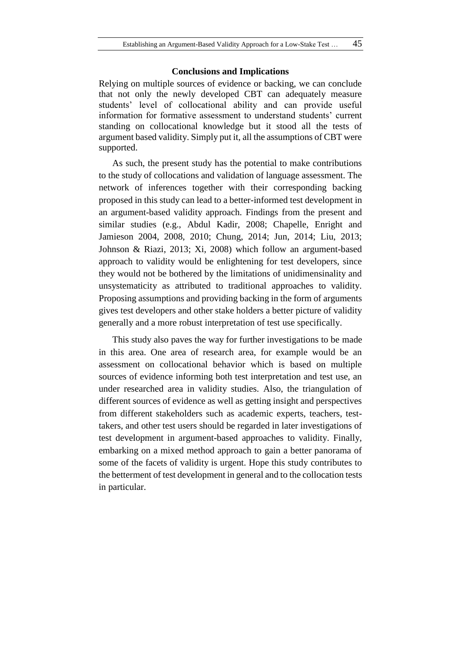#### **Conclusions and Implications**

Relying on multiple sources of evidence or backing, we can conclude that not only the newly developed CBT can adequately measure students' level of collocational ability and can provide useful information for formative assessment to understand students' current standing on collocational knowledge but it stood all the tests of argument based validity. Simply put it, all the assumptions of CBT were supported.

As such, the present study has the potential to make contributions to the study of collocations and validation of language assessment. The network of inferences together with their corresponding backing proposed in this study can lead to a better-informed test development in an argument-based validity approach. Findings from the present and similar studies (e.g., Abdul Kadir, 2008; Chapelle, Enright and Jamieson 2004, 2008, 2010; Chung, 2014; Jun, 2014; Liu, 2013; Johnson & Riazi, 2013; Xi, 2008) which follow an argument-based approach to validity would be enlightening for test developers, since they would not be bothered by the limitations of unidimensinality and unsystematicity as attributed to traditional approaches to validity. Proposing assumptions and providing backing in the form of arguments gives test developers and other stake holders a better picture of validity generally and a more robust interpretation of test use specifically.

This study also paves the way for further investigations to be made in this area. One area of research area, for example would be an assessment on collocational behavior which is based on multiple sources of evidence informing both test interpretation and test use, an under researched area in validity studies. Also, the triangulation of different sources of evidence as well as getting insight and perspectives from different stakeholders such as academic experts, teachers, testtakers, and other test users should be regarded in later investigations of test development in argument-based approaches to validity. Finally, embarking on a mixed method approach to gain a better panorama of some of the facets of validity is urgent. Hope this study contributes to the betterment of test development in general and to the collocation tests in particular.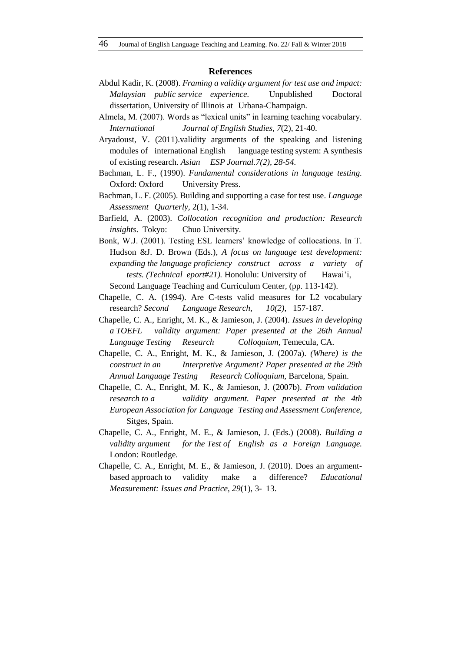#### **References**

- Abdul Kadir, K. (2008). *Framing a validity argument for test use and impact: Malaysian public service experience.* Unpublished Doctoral dissertation, University of Illinois at Urbana-Champaign.
- Almela, M. (2007). Words as "lexical units" in learning teaching vocabulary. *International Journal of English Studies, 7*(2), 21-40.
- Aryadoust, V. (2011).validity arguments of the speaking and listening modules of international English language testing system: A synthesis of existing research. *Asian ESP Journal.7(2), 28-54.*
- Bachman, L. F., (1990). *Fundamental considerations in language testing.*  Oxford: Oxford University Press.
- Bachman, L. F. (2005). Building and supporting a case for test use. *Language Assessment Quarterly,* 2(1), 1-34.
- Barfield, A. (2003). *Collocation recognition and production: Research insights*. Tokyo: Chuo University.
- Bonk, W.J. (2001). Testing ESL learners' knowledge of collocations. In T. Hudson &J. D. Brown (Eds.), *A focus on language test development: expanding the language proficiency construct across a variety of tests. (Technical eport#21).* Honolulu: University of Hawai'i, Second Language Teaching and Curriculum Center, (pp. 113-142).
- Chapelle, C. A. (1994). Are C-tests valid measures for L2 vocabulary research? *Second Language Research, 10(2),* 157-187.
- Chapelle, C. A., Enright, M. K., & Jamieson, J. (2004). *Issues in developing a TOEFL validity argument: Paper presented at the 26th Annual Language Testing Research Colloquium,* Temecula, CA.
- Chapelle, C. A., Enright, M. K., & Jamieson, J. (2007a). *(Where) is the construct in an Interpretive Argument? Paper presented at the 29th Annual Language Testing Research Colloquium,* Barcelona, Spain.
- Chapelle, C. A., Enright, M. K., & Jamieson, J. (2007b). *From validation research to a validity argument. Paper presented at the 4th European Association for Language Testing and Assessment Conference,* Sitges, Spain.
- Chapelle, C. A., Enright, M. E., & Jamieson, J. (Eds.) (2008). *Building a validity argument for the Test of English as a Foreign Language.*  London: Routledge.
- Chapelle, C. A., Enright, M. E., & Jamieson, J. (2010). Does an argumentbased approach to validity make a difference? *Educational Measurement: Issues and Practice, 29*(1), 3- 13.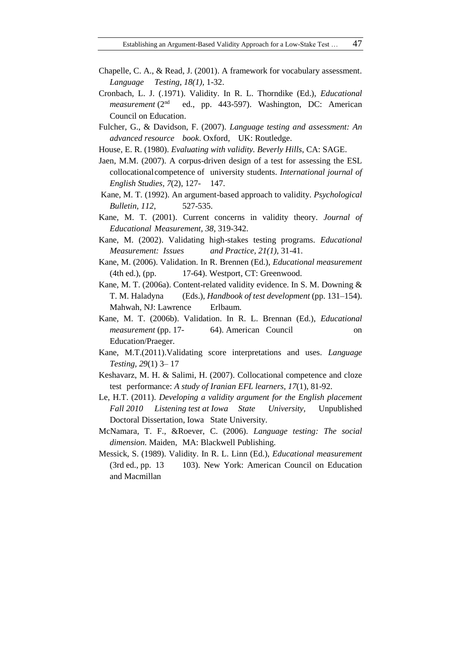- Chapelle, C. A., & Read, J. (2001). A framework for vocabulary assessment. *Language Testing, 18(1),* 1-32.
- Cronbach, L. J. (.1971). Validity. In R. L. Thorndike (Ed.), *Educational measurement* (2<sup>nd</sup> ed., pp. 443-597). Washington, DC: American Council on Education.
- Fulcher, G., & Davidson, F. (2007). *Language testing and assessment: An advanced resource book*. Oxford, UK: Routledge.
- House, E. R. (1980). *Evaluating with validity. Beverly Hills*, CA: SAGE.
- Jaen, M.M. (2007). A corpus-driven design of a test for assessing the ESL collocationalcompetence of university students. *International journal of English Studies, 7*(2), 127- 147.
- Kane, M. T. (1992). An argument-based approach to validity. *Psychological Bulletin, 112*, 527-535.
- Kane, M. T. (2001). Current concerns in validity theory. *Journal of Educational Measurement, 38,* 319-342.
- Kane, M. (2002). Validating high-stakes testing programs. *Educational Measurement: Issues and Practice, 21(1),* 31-41.
- Kane, M. (2006). Validation. In R. Brennen (Ed.), *Educational measurement*  (4th ed.), (pp. 17-64). Westport, CT: Greenwood.
- Kane, M. T. (2006a). Content-related validity evidence. In S. M. Downing & T. M. Haladyna (Eds.), *Handbook of test development* (pp. 131–154). Mahwah, NJ: Lawrence Erlbaum.
- Kane, M. T. (2006b). Validation. In R. L. Brennan (Ed.), *Educational measurement* (pp. 17- 64). American Council on Education/Praeger.
- Kane, M.T.(2011).Validating score interpretations and uses. *Language Testing, 29*(1) 3– 17
- Keshavarz, M. H. & Salimi, H. (2007). Collocational competence and cloze test performance: *A study of Iranian EFL learners*, *17*(1), 81-92.
- Le, H.T. (2011). *Developing a validity argument for the English placement Fall 2010 Listening test at Iowa State University,* Unpublished Doctoral Dissertation, Iowa State University.
- McNamara, T. F., &Roever, C. (2006). *Language testing: The social dimension.* Maiden, MA: Blackwell Publishing.
- Messick, S. (1989). Validity. In R. L. Linn (Ed.), *Educational measurement*  (3rd ed., pp. 13 103). New York: American Council on Education and Macmillan